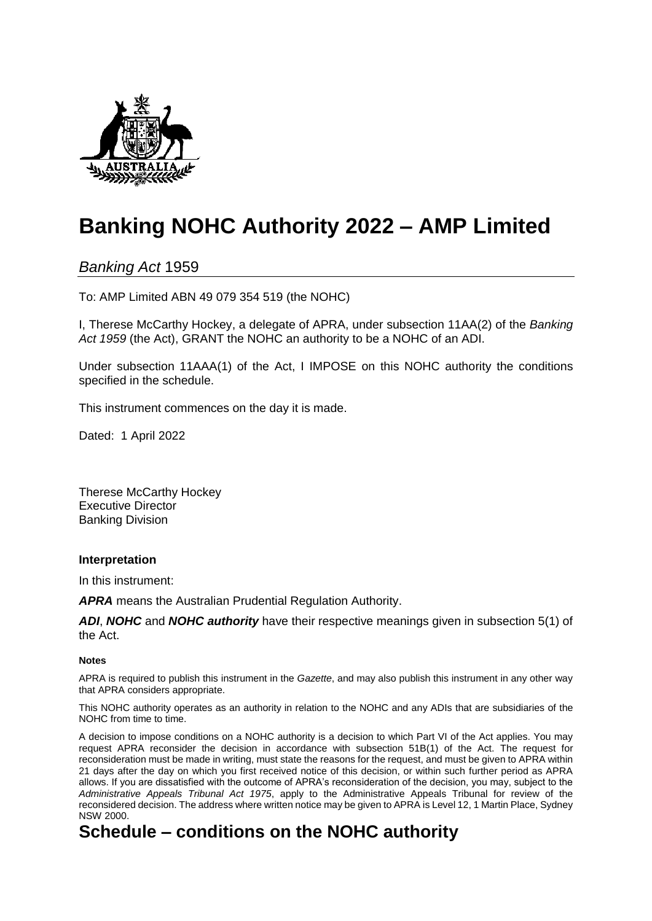

# **Banking NOHC Authority 2022 – AMP Limited**

*Banking Act* 1959

To: AMP Limited ABN 49 079 354 519 (the NOHC)

I, Therese McCarthy Hockey, a delegate of APRA, under subsection 11AA(2) of the *Banking Act 1959* (the Act), GRANT the NOHC an authority to be a NOHC of an ADI.

Under subsection 11AAA(1) of the Act, I IMPOSE on this NOHC authority the conditions specified in the schedule.

This instrument commences on the day it is made.

Dated: 1 April 2022

Therese McCarthy Hockey Executive Director Banking Division

### **Interpretation**

In this instrument:

*APRA* means the Australian Prudential Regulation Authority.

*ADI*, *NOHC* and *NOHC authority* have their respective meanings given in subsection 5(1) of the Act.

#### **Notes**

APRA is required to publish this instrument in the *Gazette*, and may also publish this instrument in any other way that APRA considers appropriate.

This NOHC authority operates as an authority in relation to the NOHC and any ADIs that are subsidiaries of the NOHC from time to time.

A decision to impose conditions on a NOHC authority is a decision to which Part VI of the Act applies. You may request APRA reconsider the decision in accordance with subsection 51B(1) of the Act. The request for reconsideration must be made in writing, must state the reasons for the request, and must be given to APRA within 21 days after the day on which you first received notice of this decision, or within such further period as APRA allows. If you are dissatisfied with the outcome of APRA's reconsideration of the decision, you may, subject to the *Administrative Appeals Tribunal Act 1975*, apply to the Administrative Appeals Tribunal for review of the reconsidered decision. The address where written notice may be given to APRA is Level 12, 1 Martin Place, Sydney NSW 2000.

## **Schedule – conditions on the NOHC authority**